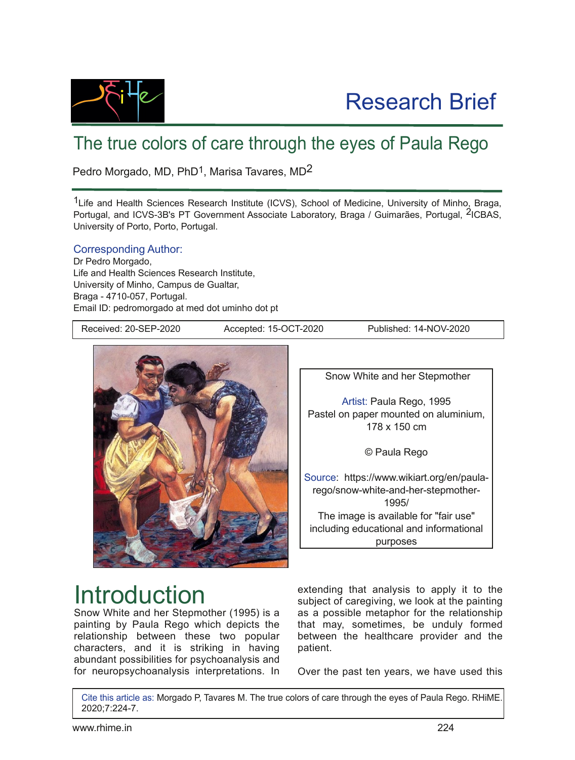

### The true colors of care through the eyes of Paula Rego

Pedro Morgado, MD, PhD<sup>1</sup>, Marisa Tavares, MD<sup>2</sup>

<sup>1</sup> Life and Health Sciences Research Institute (ICVS), School of Medicine, University of Minho, Braga, Portugal, and ICVS-3B's PT Government Associate Laboratory, Braga / Guimarães, Portugal, <sup>2</sup>ICBAS, University of Porto, Porto, Portugal.

Corresponding Author:

Dr Pedro Morgado, Life and Health Sciences Research Institute, University of Minho, Campus de Gualtar, Braga - 4710-057, Portugal. Email ID: pedromorgado at med dot uminho dot pt

Received: 20-SEP-2020 Accepted: 15-OCT-2020 Published: 14-NOV-2020



Snow White and her Stepmother

Artist: Paula Rego, 1995 Pastel on paper mounted on aluminium, 178 x 150 cm

© Paula Rego

Source: https://www.wikiart.org/en/paularego/snow-white-and-her-stepmother-1995/ The image is available for "fair use" including educational and informational purposes

# Introduction

Snow White and her Stepmother (1995) is a painting by Paula Rego which depicts the relationship between these two popular characters, and it is striking in having abundant possibilities for psychoanalysis and for neuropsychoanalysis interpretations. In

extending that analysis to apply it to the subject of caregiving, we look at the painting as a possible metaphor for the relationship that may, sometimes, be unduly formed between the healthcare provider and the patient.

Over the past ten years, we have used this

Cite this article as: Morgado P, Tavares M. The true colors of care through the eyes of Paula Rego. RHiME. 2020;7:2247.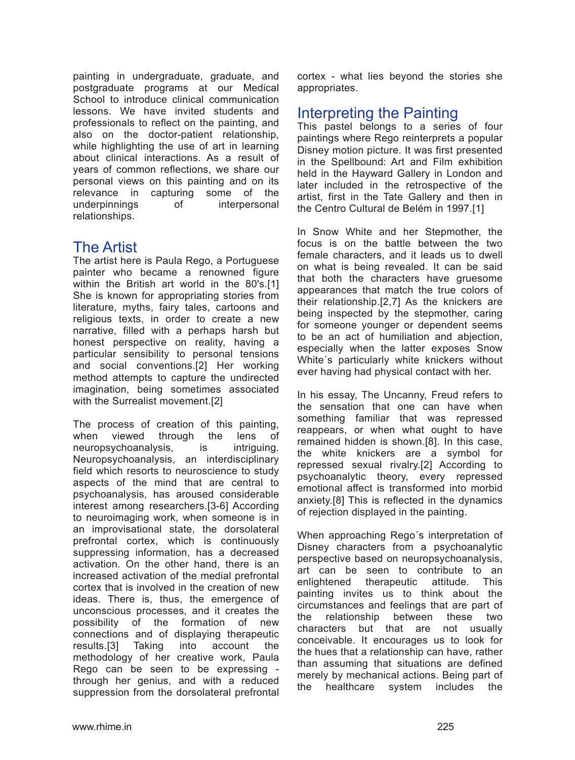painting in undergraduate, graduate, and postgraduate programs at our Medical School to introduce clinical communication lessons. We have invited students and professionals to reflect on the painting, and also on the doctor-patient relationship, while highlighting the use of art in learning about clinical interactions. As a result of years of common reflections, we share our personal views on this painting and on its relevance in capturing some of the underpinnings of interpersonal relationships.

### The Artist

The artist here is Paula Rego, a Portuguese painter who became a renowned figure within the British art world in the 80's.[1] She is known for appropriating stories from literature, myths, fairy tales, cartoons and religious texts, in order to create a new narrative, filled with a perhaps harsh but honest perspective on reality, having a particular sensibility to personal tensions and social conventions.[2] Her working method attempts to capture the undirected imagination, being sometimes associated with the Surrealist movement.[2]

The process of creation of this painting, when viewed through the lens of neuropsychoanalysis, is intriguing. Neuropsychoanalysis, an interdisciplinary field which resorts to neuroscience to study aspects of the mind that are central to psychoanalysis, has aroused considerable interest among researchers. [3-6] According to neuroimaging work, when someone is in an improvisational state, the dorsolateral prefrontal cortex, which is continuously suppressing information, has a decreased activation. On the other hand, there is an increased activation of the medial prefrontal cortex that is involved in the creation of new ideas. There is, thus, the emergence of unconscious processes, and it creates the possibility of the formation of new connections and of displaying therapeutic results.[3] Taking into account the methodology of her creative work, Paula Rego can be seen to be expressing through her genius, and with a reduced suppression from the dorsolateral prefrontal cortex what lies beyond the stories she appropriates.

#### Interpreting the Painting

This pastel belongs to a series of four paintings where Rego reinterprets a popular Disney motion picture. It was first presented in the Spellbound: Art and Film exhibition held in the Hayward Gallery in London and later included in the retrospective of the artist, first in the Tate Gallery and then in the Centro Cultural de Belém in 1997.[1]

In Snow White and her Stepmother, the focus is on the battle between the two female characters, and it leads us to dwell on what is being revealed. It can be said that both the characters have gruesome appearances that match the true colors of their relationship.[2,7] As the knickers are being inspected by the stepmother, caring for someone younger or dependent seems to be an act of humiliation and abjection, especially when the latter exposes Snow White´s particularly white knickers without ever having had physical contact with her.

In his essay, The Uncanny, Freud refers to the sensation that one can have when something familiar that was repressed reappears, or when what ought to have remained hidden is shown.[8]. In this case, the white knickers are a symbol for repressed sexual rivalry.[2] According to psychoanalytic theory, every repressed emotional affect is transformed into morbid anxiety.[8] This is reflected in the dynamics of rejection displayed in the painting.

When approaching Rego´s interpretation of Disney characters from a psychoanalytic perspective based on neuropsychoanalysis, art can be seen to contribute to an enlightened therapeutic attitude. This painting invites us to think about the circumstances and feelings that are part of the relationship between these two characters but that are not usually conceivable. It encourages us to look for the hues that a relationship can have, rather than assuming that situations are defined merely by mechanical actions. Being part of the healthcare system includes the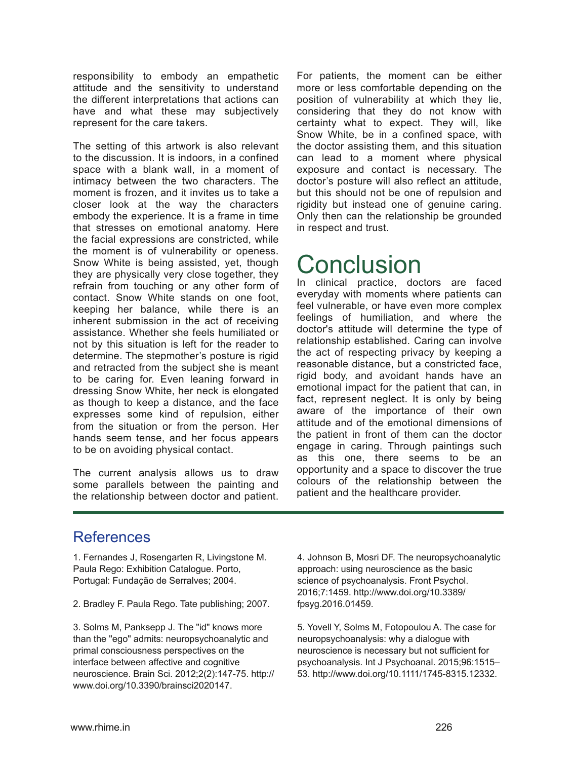responsibility to embody an empathetic attitude and the sensitivity to understand the different interpretations that actions can have and what these may subjectively represent for the care takers.

The setting of this artwork is also relevant to the discussion. It is indoors, in a confined space with a blank wall, in a moment of intimacy between the two characters. The moment is frozen, and it invites us to take a closer look at the way the characters embody the experience. It is a frame in time that stresses on emotional anatomy. Here the facial expressions are constricted, while the moment is of vulnerability or openess. Snow White is being assisted, yet, though they are physically very close together, they refrain from touching or any other form of contact. Snow White stands on one foot, keeping her balance, while there is an inherent submission in the act of receiving assistance. Whether she feels humiliated or not by this situation is left for the reader to determine. The stepmother's posture is rigid and retracted from the subject she is meant to be caring for. Even leaning forward in dressing Snow White, her neck is elongated as though to keep a distance, and the face expresses some kind of repulsion, either from the situation or from the person. Her hands seem tense, and her focus appears to be on avoiding physical contact.

The current analysis allows us to draw some parallels between the painting and the relationship between doctor and patient. For patients, the moment can be either more or less comfortable depending on the position of vulnerability at which they lie, considering that they do not know with certainty what to expect. They will, like Snow White, be in a confined space, with the doctor assisting them, and this situation can lead to a moment where physical exposure and contact is necessary. The doctor's posture will also reflect an attitude, but this should not be one of repulsion and rigidity but instead one of genuine caring. Only then can the relationship be grounded in respect and trust.

# **Conclusion**

In clinical practice, doctors are faced everyday with moments where patients can feel vulnerable, or have even more complex feelings of humiliation, and where the doctor's attitude will determine the type of relationship established. Caring can involve the act of respecting privacy by keeping a reasonable distance, but a constricted face, rigid body, and avoidant hands have an emotional impact for the patient that can, in fact, represent neglect. It is only by being aware of the importance of their own attitude and of the emotional dimensions of the patient in front of them can the doctor engage in caring. Through paintings such as this one, there seems to be an opportunity and a space to discover the true colours of the relationship between the patient and the healthcare provider.

#### References

1. Fernandes J, Rosengarten R, Livingstone M. Paula Rego: Exhibition Catalogue. Porto, Portugal: Fundação de Serralves; 2004.

2. Bradley F. Paula Rego. Tate publishing; 2007.

3. Solms M, Panksepp J. The "id" knows more than the "ego" admits: neuropsychoanalytic and primal consciousness perspectives on the interface between affective and cognitive neuroscience. Brain Sci. 2012;2(2):147-75. http:// www.doi.org/10.3390/brainsci2020147.

4. Johnson B, Mosri DF. The neuropsychoanalytic approach: using neuroscience as the basic science of psychoanalysis. Front Psychol. 2016;7:1459. http://www.doi.org/10.3389/ fpsyg.2016.01459.

5. Yovell Y, Solms M, Fotopoulou A. The case for neuropsychoanalysis: why a dialogue with neuroscience is necessary but not sufficient for psychoanalysis. Int J Psychoanal. 2015;96:1515– 53. http://www.doi.org/10.1111/1745-8315.12332.